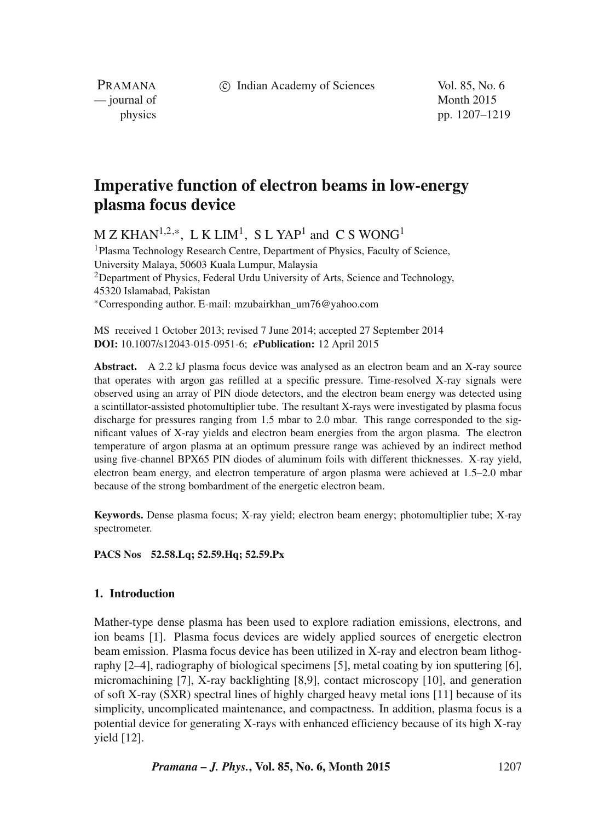c Indian Academy of Sciences Vol. 85, No. 6

PRAMANA — journal of Month 2015

physics pp. 1207–1219

# **Imperative function of electron beams in low-energy plasma focus device**

 $M Z K H A N^{1,2,*}$ , L K LIM<sup>1</sup>, S L YAP<sup>1</sup> and C S WONG<sup>1</sup>

<sup>1</sup> Plasma Technology Research Centre, Department of Physics, Faculty of Science, University Malaya, 50603 Kuala Lumpur, Malaysia <sup>2</sup>Department of Physics, Federal Urdu University of Arts, Science and Technology, 45320 Islamabad, Pakistan ∗Corresponding author. E-mail: mzubairkhan\_um76@yahoo.com

MS received 1 October 2013; revised 7 June 2014; accepted 27 September 2014 **DOI:** 10.1007/s12043-015-0951-6; *e***Publication:** 12 April 2015

Abstract. A 2.2 kJ plasma focus device was analysed as an electron beam and an X-ray source that operates with argon gas refilled at a specific pressure. Time-resolved X-ray signals were observed using an array of PIN diode detectors, and the electron beam energy was detected using a scintillator-assisted photomultiplier tube. The resultant X-rays were investigated by plasma focus discharge for pressures ranging from 1.5 mbar to 2.0 mbar. This range corresponded to the significant values of X-ray yields and electron beam energies from the argon plasma. The electron temperature of argon plasma at an optimum pressure range was achieved by an indirect method using five-channel BPX65 PIN diodes of aluminum foils with different thicknesses. X-ray yield, electron beam energy, and electron temperature of argon plasma were achieved at 1.5–2.0 mbar because of the strong bombardment of the energetic electron beam.

**Keywords.** Dense plasma focus; X-ray yield; electron beam energy; photomultiplier tube; X-ray spectrometer.

## **PACS Nos 52.58.Lq; 52.59.Hq; 52.59.Px**

# **1. Introduction**

Mather-type dense plasma has been used to explore radiation emissions, electrons, and ion beams [1]. Plasma focus devices are widely applied sources of energetic electron beam emission. Plasma focus device has been utilized in X-ray and electron beam lithography [2–4], radiography of biological specimens [5], metal coating by ion sputtering [6], micromachining [7], X-ray backlighting [8,9], contact microscopy [10], and generation of soft X-ray (SXR) spectral lines of highly charged heavy metal ions [11] because of its simplicity, uncomplicated maintenance, and compactness. In addition, plasma focus is a potential device for generating X-rays with enhanced efficiency because of its high X-ray yield [12].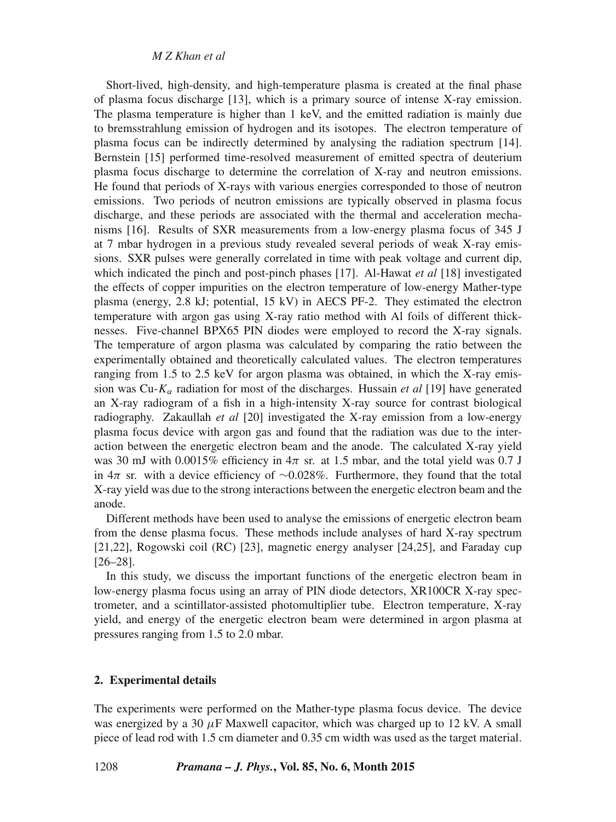#### *M Z Khan et al*

Short-lived, high-density, and high-temperature plasma is created at the final phase of plasma focus discharge [13], which is a primary source of intense X-ray emission. The plasma temperature is higher than 1 keV, and the emitted radiation is mainly due to bremsstrahlung emission of hydrogen and its isotopes. The electron temperature of plasma focus can be indirectly determined by analysing the radiation spectrum [14]. Bernstein [15] performed time-resolved measurement of emitted spectra of deuterium plasma focus discharge to determine the correlation of X-ray and neutron emissions. He found that periods of X-rays with various energies corresponded to those of neutron emissions. Two periods of neutron emissions are typically observed in plasma focus discharge, and these periods are associated with the thermal and acceleration mechanisms [16]. Results of SXR measurements from a low-energy plasma focus of 345 J at 7 mbar hydrogen in a previous study revealed several periods of weak X-ray emissions. SXR pulses were generally correlated in time with peak voltage and current dip, which indicated the pinch and post-pinch phases [17]. Al-Hawat *et al* [18] investigated the effects of copper impurities on the electron temperature of low-energy Mather-type plasma (energy, 2.8 kJ; potential, 15 kV) in AECS PF-2. They estimated the electron temperature with argon gas using X-ray ratio method with Al foils of different thicknesses. Five-channel BPX65 PIN diodes were employed to record the X-ray signals. The temperature of argon plasma was calculated by comparing the ratio between the experimentally obtained and theoretically calculated values. The electron temperatures ranging from 1.5 to 2.5 keV for argon plasma was obtained, in which the X-ray emission was Cu- $K_{\alpha}$  radiation for most of the discharges. Hussain *et al* [19] have generated an X-ray radiogram of a fish in a high-intensity X-ray source for contrast biological radiography. Zakaullah *et al* [20] investigated the X-ray emission from a low-energy plasma focus device with argon gas and found that the radiation was due to the interaction between the energetic electron beam and the anode. The calculated X-ray yield was 30 mJ with 0.0015% efficiency in  $4\pi$  sr. at 1.5 mbar, and the total yield was 0.7 J in  $4\pi$  sr. with a device efficiency of ~0.028%. Furthermore, they found that the total X-ray yield was due to the strong interactions between the energetic electron beam and the anode.

Different methods have been used to analyse the emissions of energetic electron beam from the dense plasma focus. These methods include analyses of hard X-ray spectrum [21,22], Rogowski coil (RC) [23], magnetic energy analyser [24,25], and Faraday cup [26–28].

In this study, we discuss the important functions of the energetic electron beam in low-energy plasma focus using an array of PIN diode detectors, XR100CR X-ray spectrometer, and a scintillator-assisted photomultiplier tube. Electron temperature, X-ray yield, and energy of the energetic electron beam were determined in argon plasma at pressures ranging from 1.5 to 2.0 mbar.

#### **2. Experimental details**

The experiments were performed on the Mather-type plasma focus device. The device was energized by a 30  $\mu$ F Maxwell capacitor, which was charged up to 12 kV. A small piece of lead rod with 1.5 cm diameter and 0.35 cm width was used as the target material.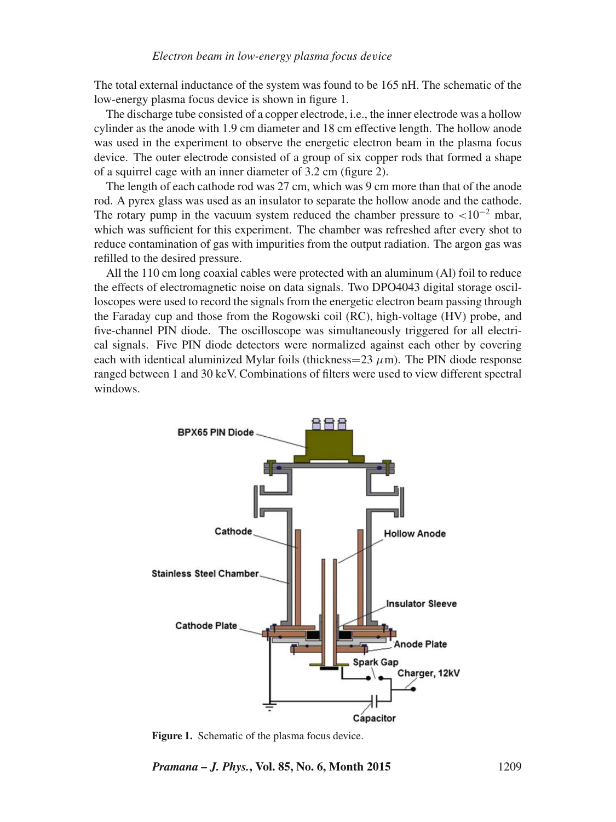The total external inductance of the system was found to be 165 nH. The schematic of the low-energy plasma focus device is shown in figure 1.

The discharge tube consisted of a copper electrode, i.e., the inner electrode was a hollow cylinder as the anode with 1.9 cm diameter and 18 cm effective length. The hollow anode was used in the experiment to observe the energetic electron beam in the plasma focus device. The outer electrode consisted of a group of six copper rods that formed a shape of a squirrel cage with an inner diameter of 3.2 cm (figure 2).

The length of each cathode rod was 27 cm, which was 9 cm more than that of the anode rod. A pyrex glass was used as an insulator to separate the hollow anode and the cathode. The rotary pump in the vacuum system reduced the chamber pressure to  $\langle 10^{-2} \text{ mbar} \rangle$ , which was sufficient for this experiment. The chamber was refreshed after every shot to reduce contamination of gas with impurities from the output radiation. The argon gas was refilled to the desired pressure.

All the 110 cm long coaxial cables were protected with an aluminum (Al) foil to reduce the effects of electromagnetic noise on data signals. Two DPO4043 digital storage oscilloscopes were used to record the signals from the energetic electron beam passing through the Faraday cup and those from the Rogowski coil (RC), high-voltage (HV) probe, and five-channel PIN diode. The oscilloscope was simultaneously triggered for all electrical signals. Five PIN diode detectors were normalized against each other by covering each with identical aluminized Mylar foils (thickness= $23 \mu$ m). The PIN diode response ranged between 1 and 30 keV. Combinations of filters were used to view different spectral windows.



Figure 1. Schematic of the plasma focus device.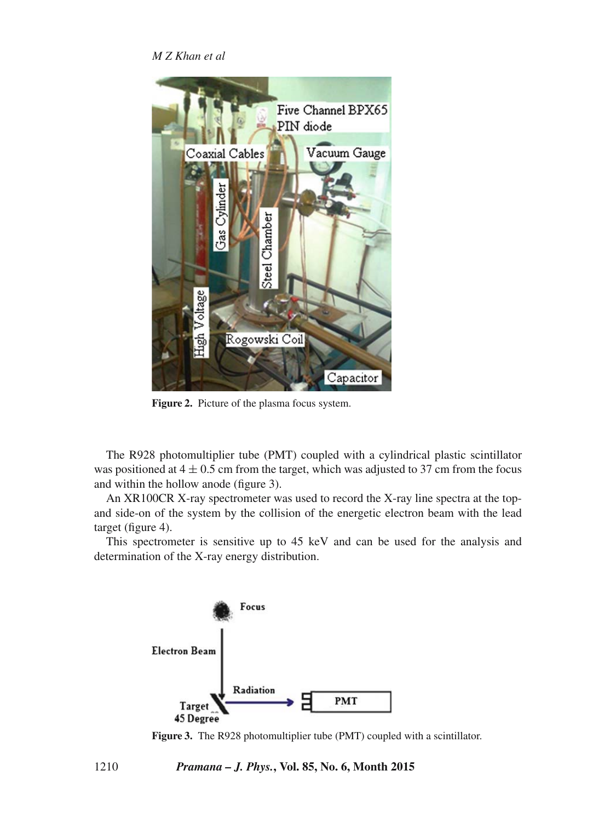*M Z Khan et al*



**Figure 2.** Picture of the plasma focus system.

The R928 photomultiplier tube (PMT) coupled with a cylindrical plastic scintillator was positioned at  $4 \pm 0.5$  cm from the target, which was adjusted to 37 cm from the focus and within the hollow anode (figure 3).

An XR100CR X-ray spectrometer was used to record the X-ray line spectra at the topand side-on of the system by the collision of the energetic electron beam with the lead target (figure 4).

This spectrometer is sensitive up to 45 keV and can be used for the analysis and determination of the X-ray energy distribution.



**Figure 3.** The R928 photomultiplier tube (PMT) coupled with a scintillator.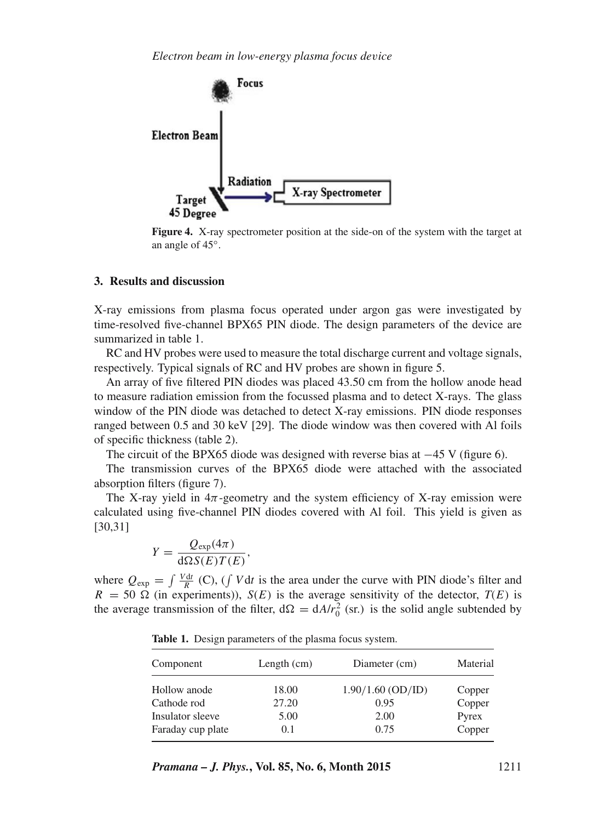

**Figure 4.** X-ray spectrometer position at the side-on of the system with the target at an angle of 45◦.

## **3. Results and discussion**

X-ray emissions from plasma focus operated under argon gas were investigated by time-resolved five-channel BPX65 PIN diode. The design parameters of the device are summarized in table 1.

RC and HV probes were used to measure the total discharge current and voltage signals, respectively. Typical signals of RC and HV probes are shown in figure 5.

An array of five filtered PIN diodes was placed 43.50 cm from the hollow anode head to measure radiation emission from the focussed plasma and to detect X-rays. The glass window of the PIN diode was detached to detect X-ray emissions. PIN diode responses ranged between 0.5 and 30 keV [29]. The diode window was then covered with Al foils of specific thickness (table 2).

The circuit of the BPX65 diode was designed with reverse bias at  $-45$  V (figure 6).

The transmission curves of the BPX65 diode were attached with the associated absorption filters (figure 7).

The X-ray yield in  $4\pi$ -geometry and the system efficiency of X-ray emission were calculated using five-channel PIN diodes covered with Al foil. This yield is given as [30,31]

$$
Y = \frac{Q_{\exp}(4\pi)}{\mathrm{d}\Omega S(E)T(E)},
$$

where  $Q_{\text{exp}} = \int \frac{V dt}{R}$  (C), ( $\int V dt$  is the area under the curve with PIN diode's filter and  $R = 50 \Omega$  (in experiments)),  $S(E)$  is the average sensitivity of the detector,  $T(E)$  is the average transmission of the filter,  $d\Omega = dA/r_0^2$  (sr.) is the solid angle subtended by

| Component         | Length $(cm)$ | Diameter (cm)       | Material |
|-------------------|---------------|---------------------|----------|
| Hollow anode      | 18.00         | $1.90/1.60$ (OD/ID) | Copper   |
| Cathode rod       | 27.20         | 0.95                | Copper   |
| Insulator sleeve  | 5.00          | 2.00                | Pyrex    |
| Faraday cup plate | 0.1           | 0.75                | Copper   |

**Table 1.** Design parameters of the plasma focus system.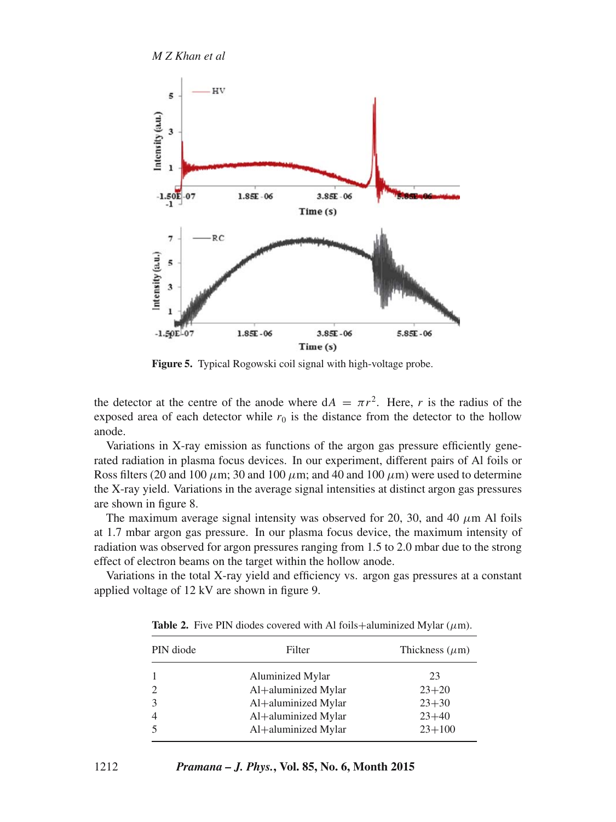*M Z Khan et al*



**Figure 5.** Typical Rogowski coil signal with high-voltage probe.

the detector at the centre of the anode where  $dA = \pi r^2$ . Here, r is the radius of the exposed area of each detector while  $r_0$  is the distance from the detector to the hollow anode.

Variations in X-ray emission as functions of the argon gas pressure efficiently generated radiation in plasma focus devices. In our experiment, different pairs of Al foils or Ross filters (20 and 100  $\mu$ m; 30 and 100  $\mu$ m; and 40 and 100  $\mu$ m) were used to determine the X-ray yield. Variations in the average signal intensities at distinct argon gas pressures are shown in figure 8.

The maximum average signal intensity was observed for 20, 30, and 40  $\mu$ m Al foils at 1.7 mbar argon gas pressure. In our plasma focus device, the maximum intensity of radiation was observed for argon pressures ranging from 1.5 to 2.0 mbar due to the strong effect of electron beams on the target within the hollow anode.

Variations in the total X-ray yield and efficiency vs. argon gas pressures at a constant applied voltage of 12 kV are shown in figure 9.

| PIN diode | Filter              | Thickness $(\mu m)$ |
|-----------|---------------------|---------------------|
|           | Aluminized Mylar    | 23                  |
|           | Al+aluminized Mylar | $23+20$             |
|           | Al+aluminized Mylar | $23 + 30$           |
|           | Al+aluminized Mylar | $23+40$             |
|           | Al+aluminized Mylar | $23 + 100$          |

**Table 2.** Five PIN diodes covered with Al foils+aluminized Mylar  $(\mu m)$ .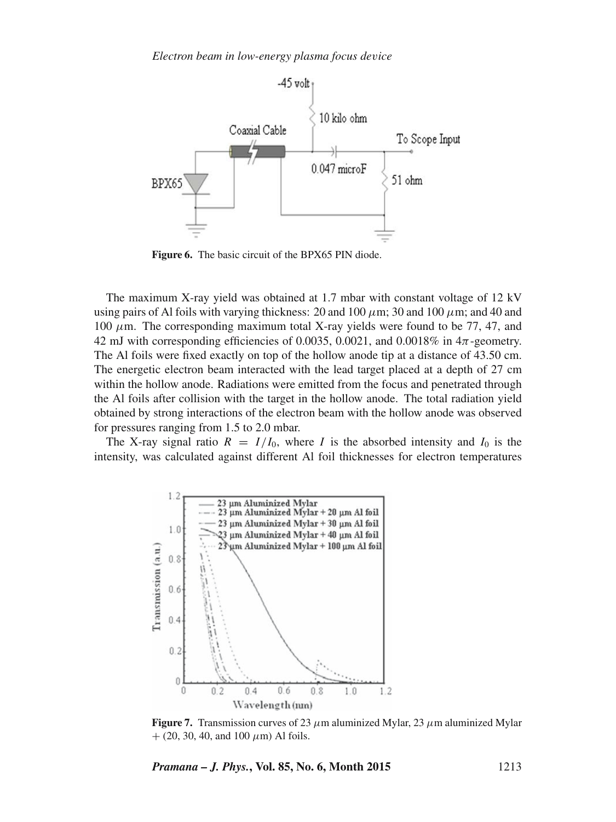

**Figure 6.** The basic circuit of the BPX65 PIN diode.

The maximum X-ray yield was obtained at 1.7 mbar with constant voltage of 12 kV using pairs of Al foils with varying thickness: 20 and 100  $\mu$ m; 30 and 100  $\mu$ m; and 40 and 100  $\mu$ m. The corresponding maximum total X-ray yields were found to be 77, 47, and 42 mJ with corresponding efficiencies of 0.0035, 0.0021, and 0.0018% in 4π-geometry. The Al foils were fixed exactly on top of the hollow anode tip at a distance of 43.50 cm. The energetic electron beam interacted with the lead target placed at a depth of 27 cm within the hollow anode. Radiations were emitted from the focus and penetrated through the Al foils after collision with the target in the hollow anode. The total radiation yield obtained by strong interactions of the electron beam with the hollow anode was observed for pressures ranging from 1.5 to 2.0 mbar.

The X-ray signal ratio  $R = I/I_0$ , where I is the absorbed intensity and  $I_0$  is the intensity, was calculated against different Al foil thicknesses for electron temperatures



**Figure 7.** Transmission curves of 23  $\mu$ m aluminized Mylar, 23  $\mu$ m aluminized Mylar  $+$  (20, 30, 40, and 100  $\mu$ m) Al foils.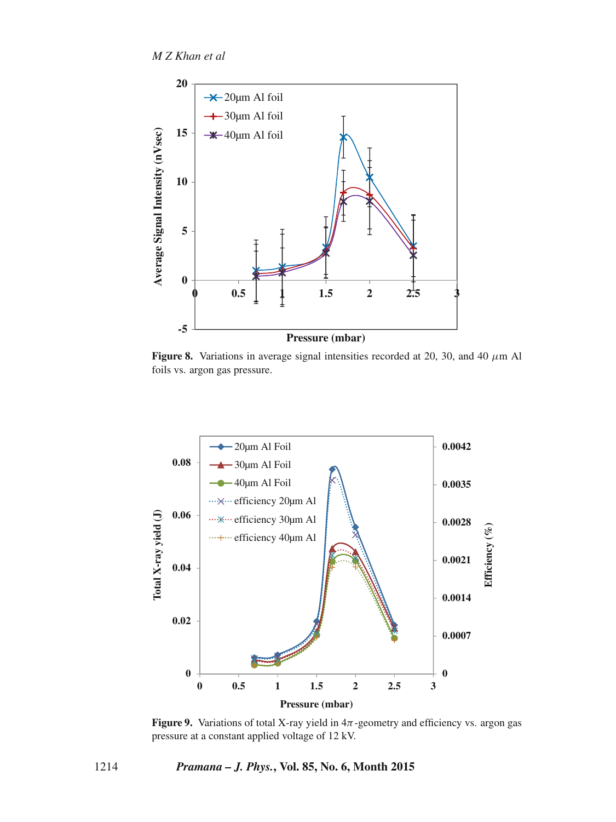

**Figure 8.** Variations in average signal intensities recorded at 20, 30, and 40  $\mu$ m Al foils vs. argon gas pressure.



**Figure 9.** Variations of total X-ray yield in  $4\pi$ -geometry and efficiency vs. argon gas pressure at a constant applied voltage of 12 kV.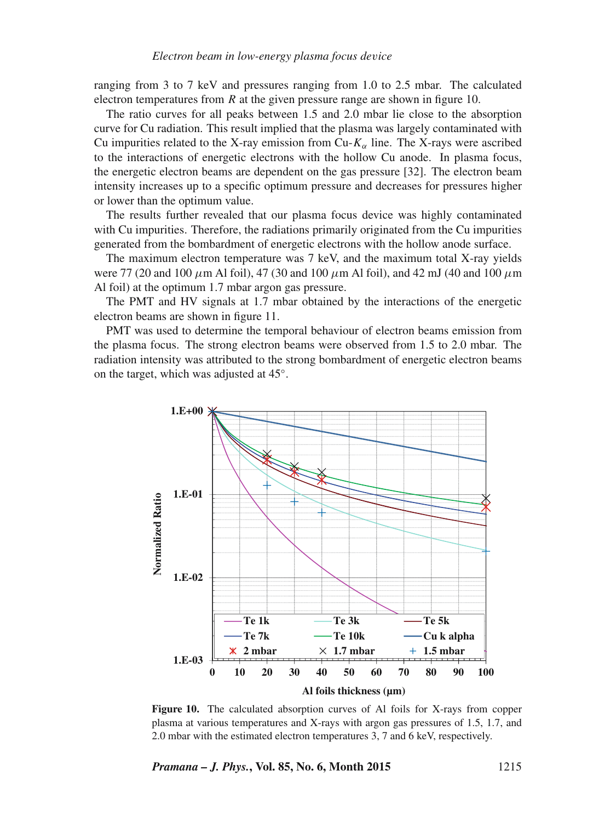ranging from 3 to 7 keV and pressures ranging from 1.0 to 2.5 mbar. The calculated electron temperatures from  $R$  at the given pressure range are shown in figure 10.

The ratio curves for all peaks between 1.5 and 2.0 mbar lie close to the absorption curve for Cu radiation. This result implied that the plasma was largely contaminated with Cu impurities related to the X-ray emission from  $Cu$ - $K_{\alpha}$  line. The X-rays were ascribed to the interactions of energetic electrons with the hollow Cu anode. In plasma focus, the energetic electron beams are dependent on the gas pressure [32]. The electron beam intensity increases up to a specific optimum pressure and decreases for pressures higher or lower than the optimum value.

The results further revealed that our plasma focus device was highly contaminated with Cu impurities. Therefore, the radiations primarily originated from the Cu impurities generated from the bombardment of energetic electrons with the hollow anode surface.

The maximum electron temperature was 7 keV, and the maximum total X-ray yields were 77 (20 and 100  $\mu$ m Al foil), 47 (30 and 100  $\mu$ m Al foil), and 42 mJ (40 and 100  $\mu$ m Al foil) at the optimum 1.7 mbar argon gas pressure.

The PMT and HV signals at 1.7 mbar obtained by the interactions of the energetic electron beams are shown in figure 11.

PMT was used to determine the temporal behaviour of electron beams emission from the plasma focus. The strong electron beams were observed from 1.5 to 2.0 mbar. The radiation intensity was attributed to the strong bombardment of energetic electron beams on the target, which was adjusted at 45◦.



**Figure 10.** The calculated absorption curves of Al foils for X-rays from copper plasma at various temperatures and X-rays with argon gas pressures of 1.5, 1.7, and 2.0 mbar with the estimated electron temperatures 3, 7 and 6 keV, respectively.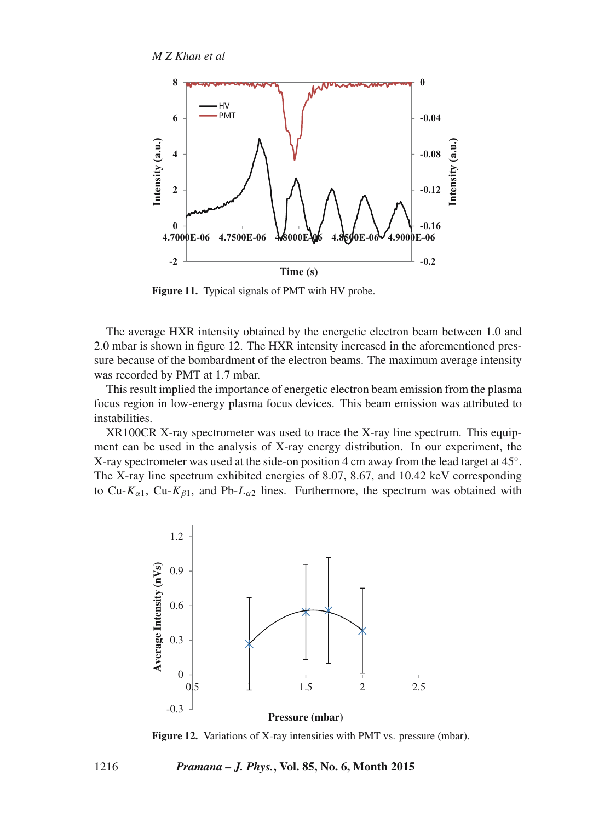

**Figure 11.** Typical signals of PMT with HV probe.

The average HXR intensity obtained by the energetic electron beam between 1.0 and 2.0 mbar is shown in figure 12. The HXR intensity increased in the aforementioned pressure because of the bombardment of the electron beams. The maximum average intensity was recorded by PMT at 1.7 mbar.

This result implied the importance of energetic electron beam emission from the plasma focus region in low-energy plasma focus devices. This beam emission was attributed to instabilities.

XR100CR X-ray spectrometer was used to trace the X-ray line spectrum. This equipment can be used in the analysis of X-ray energy distribution. In our experiment, the X-ray spectrometer was used at the side-on position 4 cm away from the lead target at 45◦. The X-ray line spectrum exhibited energies of 8.07, 8.67, and 10.42 keV corresponding to Cu-K<sub>α1</sub>, Cu-K<sub>β1</sub>, and Pb-L<sub>α2</sub> lines. Furthermore, the spectrum was obtained with



**Figure 12.** Variations of X-ray intensities with PMT vs. pressure (mbar).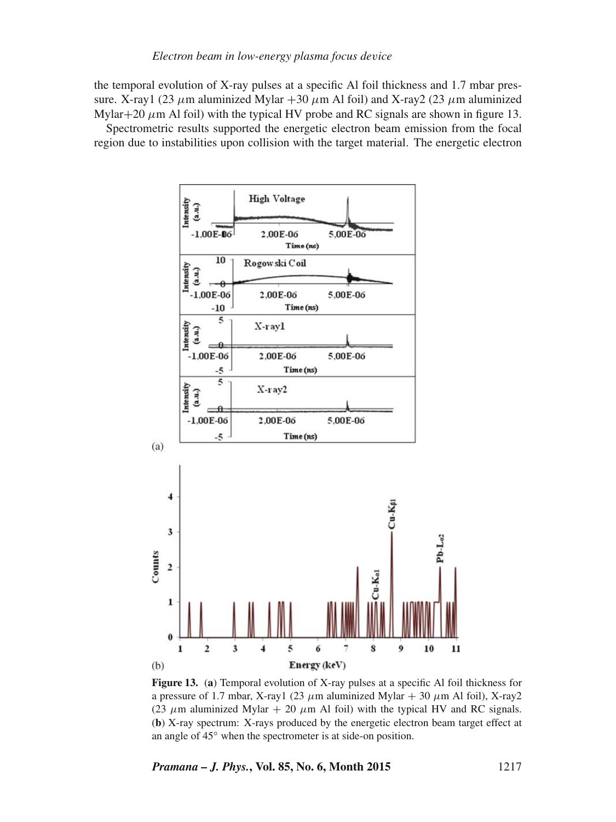# *Electron beam in low-energy plasma focus de*v*ice*

the temporal evolution of X-ray pulses at a specific Al foil thickness and 1.7 mbar pressure. X-ray1 (23  $\mu$ m aluminized Mylar +30  $\mu$ m Al foil) and X-ray2 (23  $\mu$ m aluminized Mylar+20  $\mu$ m Al foil) with the typical HV probe and RC signals are shown in figure 13.

Spectrometric results supported the energetic electron beam emission from the focal region due to instabilities upon collision with the target material. The energetic electron



**Figure 13.** (**a**) Temporal evolution of X-ray pulses at a specific Al foil thickness for a pressure of 1.7 mbar, X-ray1 (23  $\mu$ m aluminized Mylar + 30  $\mu$ m Al foil), X-ray2 (23  $\mu$ m aluminized Mylar + 20  $\mu$ m Al foil) with the typical HV and RC signals. (**b**) X-ray spectrum: X-rays produced by the energetic electron beam target effect at an angle of 45◦ when the spectrometer is at side-on position.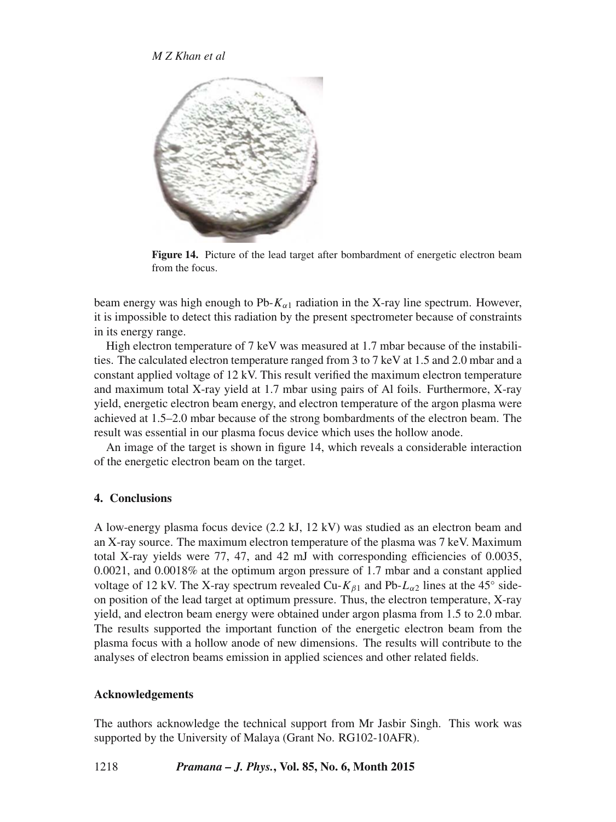

**Figure 14.** Picture of the lead target after bombardment of energetic electron beam from the focus.

beam energy was high enough to Pb- $K_{\alpha 1}$  radiation in the X-ray line spectrum. However, it is impossible to detect this radiation by the present spectrometer because of constraints in its energy range.

High electron temperature of 7 keV was measured at 1.7 mbar because of the instabilities. The calculated electron temperature ranged from 3 to 7 keV at 1.5 and 2.0 mbar and a constant applied voltage of 12 kV. This result verified the maximum electron temperature and maximum total X-ray yield at 1.7 mbar using pairs of Al foils. Furthermore, X-ray yield, energetic electron beam energy, and electron temperature of the argon plasma were achieved at 1.5–2.0 mbar because of the strong bombardments of the electron beam. The result was essential in our plasma focus device which uses the hollow anode.

An image of the target is shown in figure 14, which reveals a considerable interaction of the energetic electron beam on the target.

# **4. Conclusions**

A low-energy plasma focus device (2.2 kJ, 12 kV) was studied as an electron beam and an X-ray source. The maximum electron temperature of the plasma was 7 keV. Maximum total X-ray yields were 77, 47, and 42 mJ with corresponding efficiencies of 0.0035, 0.0021, and 0.0018% at the optimum argon pressure of 1.7 mbar and a constant applied voltage of 12 kV. The X-ray spectrum revealed Cu- $K_{\beta1}$  and Pb- $L_{\alpha2}$  lines at the 45° sideon position of the lead target at optimum pressure. Thus, the electron temperature, X-ray yield, and electron beam energy were obtained under argon plasma from 1.5 to 2.0 mbar. The results supported the important function of the energetic electron beam from the plasma focus with a hollow anode of new dimensions. The results will contribute to the analyses of electron beams emission in applied sciences and other related fields.

## **Acknowledgements**

The authors acknowledge the technical support from Mr Jasbir Singh. This work was supported by the University of Malaya (Grant No. RG102-10AFR).